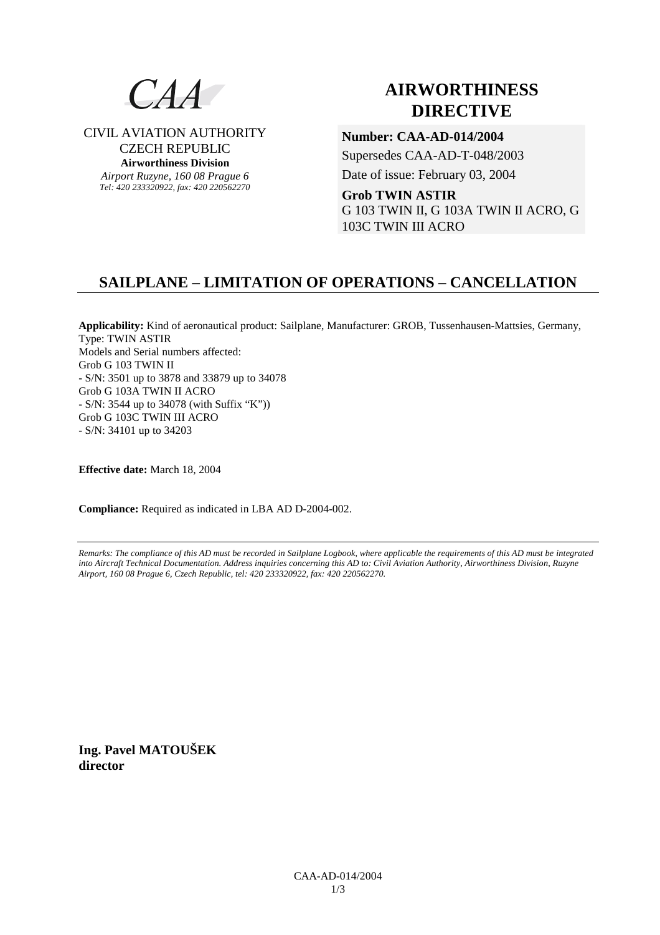

CIVIL AVIATION AUTHORITY CZECH REPUBLIC **Airworthiness Division**  *Airport Ruzyne, 160 08 Prague 6 Tel: 420 233320922, fax: 420 220562270*

# **AIRWORTHINESS DIRECTIVE**

**Number: CAA-AD-014/2004** 

Supersedes CAA-AD-T-048/2003

Date of issue: February 03, 2004

**Grob TWIN ASTIR**  G 103 TWIN II, G 103A TWIN II ACRO, G 103C TWIN III ACRO

# **SAILPLANE – LIMITATION OF OPERATIONS – CANCELLATION**

**Applicability:** Kind of aeronautical product: Sailplane, Manufacturer: GROB, Tussenhausen-Mattsies, Germany, Type: TWIN ASTIR Models and Serial numbers affected: Grob G 103 TWIN II - S/N: 3501 up to 3878 and 33879 up to 34078 Grob G 103A TWIN II ACRO - S/N: 3544 up to 34078 (with Suffix "K")) Grob G 103C TWIN III ACRO - S/N: 34101 up to 34203

**Effective date:** March 18, 2004

**Compliance:** Required as indicated in LBA AD D-2004-002.

*Remarks: The compliance of this AD must be recorded in Sailplane Logbook, where applicable the requirements of this AD must be integrated into Aircraft Technical Documentation. Address inquiries concerning this AD to: Civil Aviation Authority, Airworthiness Division, Ruzyne Airport, 160 08 Prague 6, Czech Republic, tel: 420 233320922, fax: 420 220562270.* 

**Ing. Pavel MATOUŠEK director**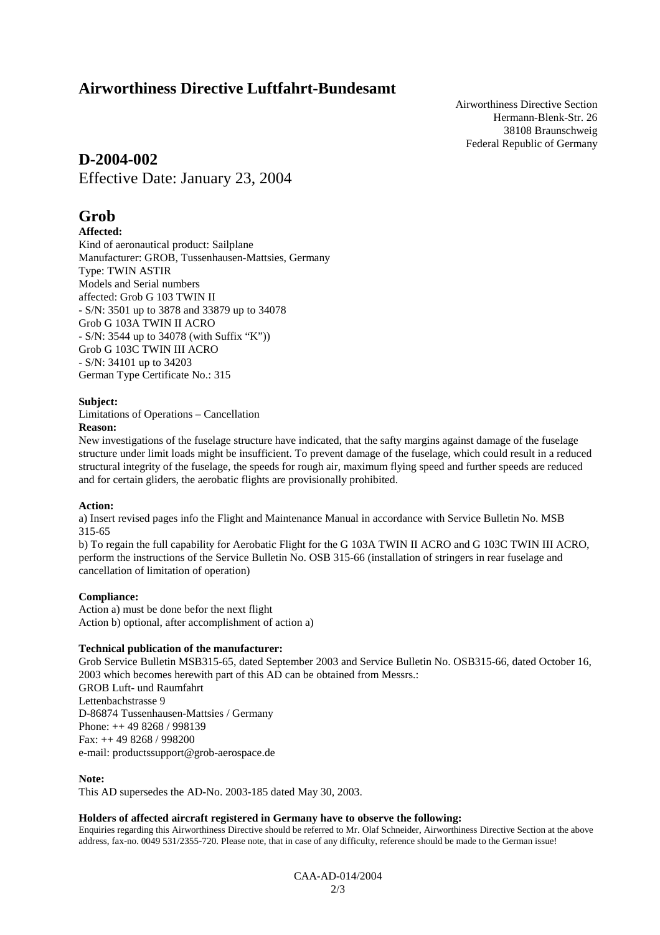# **Airworthiness Directive Luftfahrt-Bundesamt**

Airworthiness Directive Section Hermann-Blenk-Str. 26 38108 Braunschweig Federal Republic of Germany

## **D-2004-002**

Effective Date: January 23, 2004

# **Grob**

## **Affected:**

Kind of aeronautical product: Sailplane Manufacturer: GROB, Tussenhausen-Mattsies, Germany Type: TWIN ASTIR Models and Serial numbers affected: Grob G 103 TWIN II - S/N: 3501 up to 3878 and 33879 up to 34078 Grob G 103A TWIN II ACRO - S/N: 3544 up to 34078 (with Suffix "K")) Grob G 103C TWIN III ACRO - S/N: 34101 up to 34203 German Type Certificate No.: 315

### **Subject:**

Limitations of Operations – Cancellation

**Reason:** 

New investigations of the fuselage structure have indicated, that the safty margins against damage of the fuselage structure under limit loads might be insufficient. To prevent damage of the fuselage, which could result in a reduced structural integrity of the fuselage, the speeds for rough air, maximum flying speed and further speeds are reduced and for certain gliders, the aerobatic flights are provisionally prohibited.

#### **Action:**

a) Insert revised pages info the Flight and Maintenance Manual in accordance with Service Bulletin No. MSB 315-65

b) To regain the full capability for Aerobatic Flight for the G 103A TWIN II ACRO and G 103C TWIN III ACRO, perform the instructions of the Service Bulletin No. OSB 315-66 (installation of stringers in rear fuselage and cancellation of limitation of operation)

## **Compliance:**

Action a) must be done befor the next flight Action b) optional, after accomplishment of action a)

#### **Technical publication of the manufacturer:**

Grob Service Bulletin MSB315-65, dated September 2003 and Service Bulletin No. OSB315-66, dated October 16, 2003 which becomes herewith part of this AD can be obtained from Messrs.: GROB Luft- und Raumfahrt Lettenbachstrasse 9 D-86874 Tussenhausen-Mattsies / Germany Phone: ++ 49 8268 / 998139 Fax: ++ 49 8268 / 998200 e-mail: productssupport@grob-aerospace.de

**Note:** 

This AD supersedes the AD-No. 2003-185 dated May 30, 2003.

#### **Holders of affected aircraft registered in Germany have to observe the following:**

Enquiries regarding this Airworthiness Directive should be referred to Mr. Olaf Schneider, Airworthiness Directive Section at the above address, fax-no. 0049 531/2355-720. Please note, that in case of any difficulty, reference should be made to the German issue!